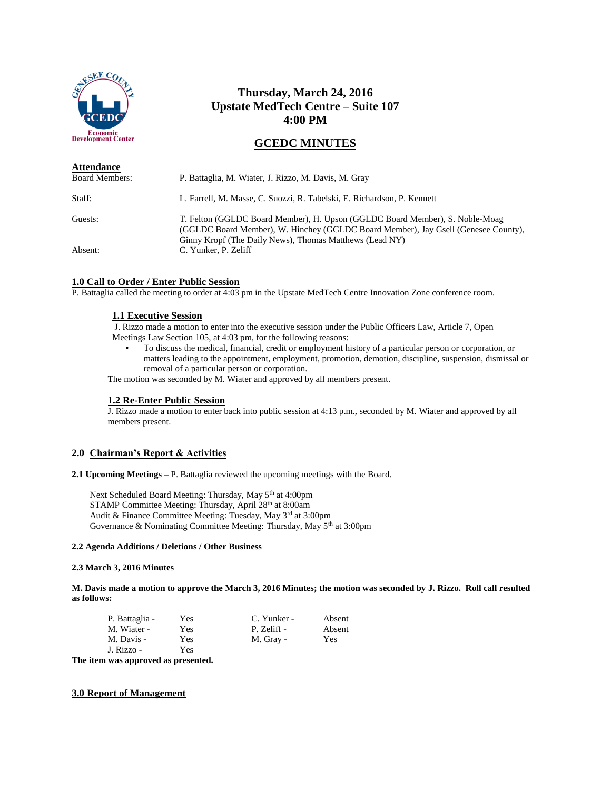

# **Thursday, March 24, 2016 Upstate MedTech Centre – Suite 107 4:00 PM**

## **GCEDC MINUTES**

| <b>Attendance</b>     |                                                                                                                                                                                                                               |
|-----------------------|-------------------------------------------------------------------------------------------------------------------------------------------------------------------------------------------------------------------------------|
| <b>Board Members:</b> | P. Battaglia, M. Wiater, J. Rizzo, M. Davis, M. Gray                                                                                                                                                                          |
| Staff:                | L. Farrell, M. Masse, C. Suozzi, R. Tabelski, E. Richardson, P. Kennett                                                                                                                                                       |
| Guests:               | T. Felton (GGLDC Board Member), H. Upson (GGLDC Board Member), S. Noble-Moag<br>(GGLDC Board Member), W. Hinchey (GGLDC Board Member), Jay Gsell (Genesee County),<br>Ginny Kropf (The Daily News), Thomas Matthews (Lead NY) |
| Absent:               | C. Yunker, P. Zeliff                                                                                                                                                                                                          |

#### **1.0 Call to Order / Enter Public Session**

P. Battaglia called the meeting to order at 4:03 pm in the Upstate MedTech Centre Innovation Zone conference room.

### **1.1 Executive Session**

J. Rizzo made a motion to enter into the executive session under the Public Officers Law, Article 7, Open Meetings Law Section 105, at 4:03 pm, for the following reasons:

• To discuss the medical, financial, credit or employment history of a particular person or corporation, or matters leading to the appointment, employment, promotion, demotion, discipline, suspension, dismissal or removal of a particular person or corporation.

The motion was seconded by M. Wiater and approved by all members present.

#### **1.2 Re-Enter Public Session**

J. Rizzo made a motion to enter back into public session at 4:13 p.m., seconded by M. Wiater and approved by all members present.

#### **2.0 Chairman's Report & Activities**

**2.1 Upcoming Meetings –** P. Battaglia reviewed the upcoming meetings with the Board.

Next Scheduled Board Meeting: Thursday, May 5th at 4:00pm STAMP Committee Meeting: Thursday, April 28th at 8:00am Audit & Finance Committee Meeting: Tuesday, May 3rd at 3:00pm Governance & Nominating Committee Meeting: Thursday, May 5th at 3:00pm

#### **2.2 Agenda Additions / Deletions / Other Business**

#### **2.3 March 3, 2016 Minutes**

**M. Davis made a motion to approve the March 3, 2016 Minutes; the motion was seconded by J. Rizzo. Roll call resulted as follows:**

| P. Battaglia - | Yes | C. Yunker - | Absent |
|----------------|-----|-------------|--------|
| M. Wiater -    | Yes | P. Zeliff - | Absent |
| M. Davis -     | Yes | M. Gray -   | Yes    |
| J. Rizzo -     | Yes |             |        |

**The item was approved as presented.**

#### **3.0 Report of Management**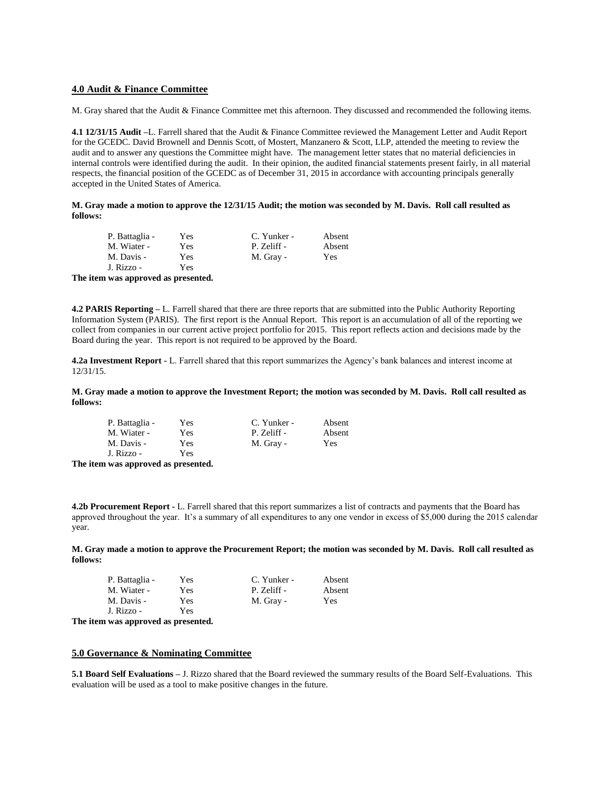#### **4.0 Audit & Finance Committee**

M. Gray shared that the Audit & Finance Committee met this afternoon. They discussed and recommended the following items.

**4.1 12/31/15 Audit –**L. Farrell shared that the Audit & Finance Committee reviewed the Management Letter and Audit Report for the GCEDC. David Brownell and Dennis Scott, of Mostert, Manzanero & Scott, LLP, attended the meeting to review the audit and to answer any questions the Committee might have. The management letter states that no material deficiencies in internal controls were identified during the audit. In their opinion, the audited financial statements present fairly, in all material respects, the financial position of the GCEDC as of December 31, 2015 in accordance with accounting principals generally accepted in the United States of America.

**M. Gray made a motion to approve the 12/31/15 Audit; the motion was seconded by M. Davis. Roll call resulted as follows:**

| P. Battaglia - | Yes | C. Yunker - | Absent |
|----------------|-----|-------------|--------|
| M. Wiater -    | Yes | P. Zeliff - | Absent |
| M. Davis -     | Yes | M. Gray -   | Yes    |
| J. Rizzo -     | Yes |             |        |

**The item was approved as presented.**

**4.2 PARIS Reporting –** L. Farrell shared that there are three reports that are submitted into the Public Authority Reporting Information System (PARIS). The first report is the Annual Report. This report is an accumulation of all of the reporting we collect from companies in our current active project portfolio for 2015. This report reflects action and decisions made by the Board during the year. This report is not required to be approved by the Board.

**4.2a Investment Report -** L. Farrell shared that this report summarizes the Agency's bank balances and interest income at 12/31/15.

**M. Gray made a motion to approve the Investment Report; the motion was seconded by M. Davis. Roll call resulted as follows:**

|      | P. Battaglia - | Yes | C. Yunker - | Absent |
|------|----------------|-----|-------------|--------|
|      | M. Wiater -    | Yes | P. Zeliff - | Absent |
|      | M. Davis -     | Yes | M. Gray -   | Yes    |
|      | J. Rizzo -     | Yes |             |        |
| ---- |                |     |             |        |

**The item was approved as presented.**

**4.2b Procurement Report -** L. Farrell shared that this report summarizes a list of contracts and payments that the Board has approved throughout the year. It's a summary of all expenditures to any one vendor in excess of \$5,000 during the 2015 calendar year.

**M. Gray made a motion to approve the Procurement Report; the motion was seconded by M. Davis. Roll call resulted as follows:**

| P. Battaglia - | Yes | C. Yunker - | Absent |
|----------------|-----|-------------|--------|
| M. Wiater -    | Yes | P. Zeliff - | Absent |
| M. Davis -     | Yes | M. Gray -   | Yes    |
| J. Rizzo -     | Yes |             |        |

**The item was approved as presented.**

#### **5.0 Governance & Nominating Committee**

**5.1 Board Self Evaluations –** J. Rizzo shared that the Board reviewed the summary results of the Board Self-Evaluations. This evaluation will be used as a tool to make positive changes in the future.